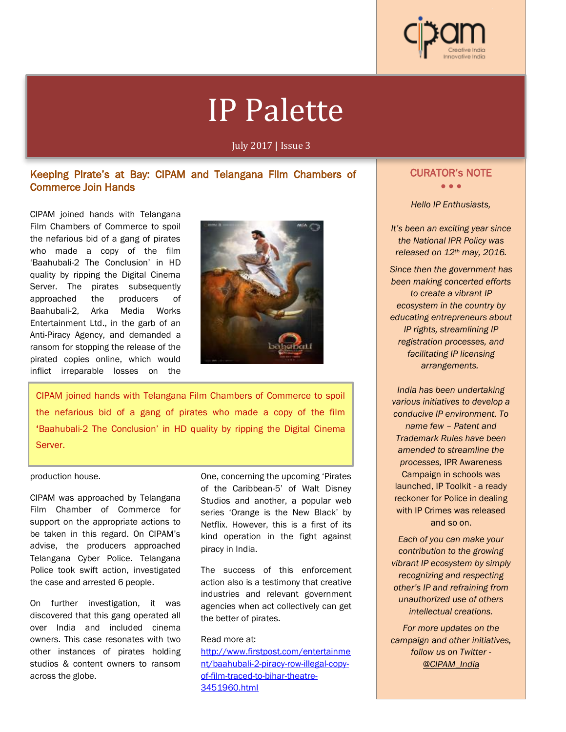

# IP Palette

July 2017 | Issue 3

# Keeping Pirate's at Bay: CIPAM and Telangana Film Chambers of Commerce Join Hands

CIPAM joined hands with Telangana Film Chambers of Commerce to spoil the nefarious bid of a gang of pirates who made a copy of the film 'Baahubali-2 The Conclusion' in HD quality by ripping the Digital Cinema Server. The pirates subsequently approached the producers of Baahubali-2, Arka Media Works Entertainment Ltd., in the garb of an Anti-Piracy Agency, and demanded a ransom for stopping the release of the pirated copies online, which would inflict irreparable losses on the



CIPAM joined hands with Telangana Film Chambers of Commerce to spoil the nefarious bid of a gang of pirates who made a copy of the film 'Baahubali-2 The Conclusion' in HD quality by ripping the Digital Cinema Server.

### production house.

Ĩ

CIPAM was approached by Telangana Film Chamber of Commerce for support on the appropriate actions to be taken in this regard. On CIPAM's advise, the producers approached Telangana Cyber Police. Telangana Police took swift action, investigated the case and arrested 6 people.

On further investigation, it was discovered that this gang operated all over India and included cinema owners. This case resonates with two other instances of pirates holding studios & content owners to ransom across the globe.

One, concerning the upcoming 'Pirates of the Caribbean-5' of Walt Disney Studios and another, a popular web series 'Orange is the New Black' by Netflix. However, this is a first of its kind operation in the fight against piracy in India.

The success of this enforcement action also is a testimony that creative industries and relevant government agencies when act collectively can get the better of pirates.

## Read more at:

http://www.firstpost.com/entertainme nt/baahubali-2-piracy-row-illegal-copyof-film-traced-to-bihar-theatre-3451960.html

# i CURATOR's NOTE

• • •

*Hello IP Enthusiasts,*

*It's been an exciting year since the National IPR Policy was released on 12th may, 2016.* 

*Since then the government has been making concerted efforts to create a vibrant IP ecosystem in the country by educating entrepreneurs about IP rights, streamlining IP registration processes, and facilitating IP licensing arrangements.*

*India has been undertaking various initiatives to develop a conducive IP environment. To name few – Patent and Trademark Rules have been amended to streamline the processes,* IPR Awareness Campaign in schools was launched, IP Toolkit - a ready reckoner for Police in dealing with IP Crimes was released and so on.

*Each of you can make your contribution to the growing vibrant IP ecosystem by simply recognizing and respecting other's IP and refraining from unauthorized use of others intellectual creations.*

*For more updates on the campaign and other initiatives, follow us on Twitter - @CIPAM\_India*